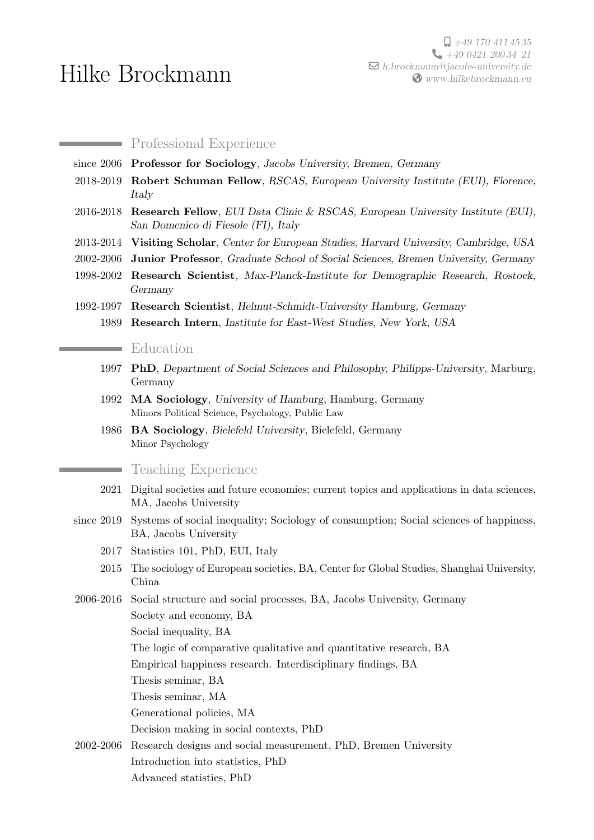## Hilke Brockmann

**Professional Experience** since 2006 Professor for Sociology, Jacobs University, Bremen, Germany 2018-2019 Robert Schuman Fellow, RSCAS, European University Institute (EUI), Florence, Italy 2016-2018 Research Fellow, EUI Data Clinic & RSCAS, European University Institute (EUI), San Domenico di Fiesole (FI), Italy 2013-2014 Visiting Scholar, Center for European Studies, Harvard University, Cambridge, USA 2002-2006 Junior Professor, Graduate School of Social Sciences, Bremen University, Germany 1998-2002 Research Scientist, Max-Planck-Institute for Demographic Research, Rostock, Germany 1992-1997 Research Scientist, Helmut-Schmidt-University Hamburg, Germany 1989 Research Intern, Institute for East-West Studies, New York, USA **Education** 1997 PhD, Department of Social Sciences and Philosophy, Philipps-University, Marburg, Germany 1992 MA Sociology, University of Hamburg, Hamburg, Germany Minors Political Science, Psychology, Public Law 1986 BA Sociology, Bielefeld University, Bielefeld, Germany Minor Psychology Teaching Experience 2021 Digital societies and future economies; current topics and applications in data sciences, MA, Jacobs University since 2019 Systems of social inequality; Sociology of consumption; Social sciences of happiness, BA, Jacobs University 2017 Statistics 101, PhD, EUI, Italy 2015 The sociology of European societies, BA, Center for Global Studies, Shanghai University, China 2006-2016 Social structure and social processes, BA, Jacobs University, Germany Society and economy, BA Social inequality, BA The logic of comparative qualitative and quantitative research, BA Empirical happiness research. Interdisciplinary findings, BA Thesis seminar, BA Thesis seminar, MA Generational policies, MA Decision making in social contexts, PhD 2002-2006 Research designs and social measurement, PhD, Bremen University Introduction into statistics, PhD

Advanced statistics, PhD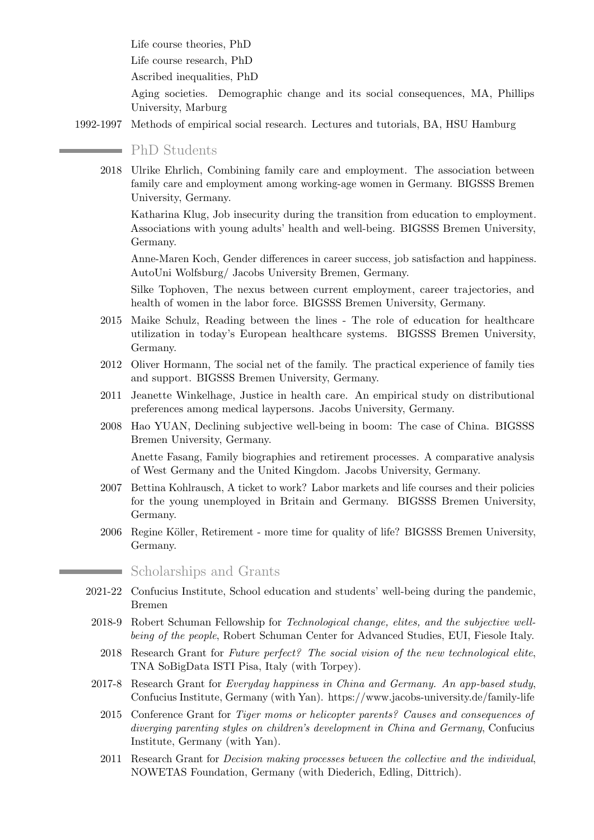Life course theories, PhD

Life course research, PhD

Ascribed inequalities, PhD

Aging societies. Demographic change and its social consequences, MA, Phillips University, Marburg

1992-1997 Methods of empirical social research. Lectures and tutorials, BA, HSU Hamburg

## **PhD** Students

2018 Ulrike Ehrlich, Combining family care and employment. The association between family care and employment among working-age women in Germany. BIGSSS Bremen University, Germany.

Katharina Klug, Job insecurity during the transition from education to employment. Associations with young adults' health and well-being. BIGSSS Bremen University, Germany.

Anne-Maren Koch, Gender differences in career success, job satisfaction and happiness. AutoUni Wolfsburg/ Jacobs University Bremen, Germany.

Silke Tophoven, The nexus between current employment, career trajectories, and health of women in the labor force. BIGSSS Bremen University, Germany.

- 2015 Maike Schulz, Reading between the lines The role of education for healthcare utilization in today's European healthcare systems. BIGSSS Bremen University, Germany.
- 2012 Oliver Hormann, The social net of the family. The practical experience of family ties and support. BIGSSS Bremen University, Germany.
- 2011 Jeanette Winkelhage, Justice in health care. An empirical study on distributional preferences among medical laypersons. Jacobs University, Germany.
- 2008 Hao YUAN, Declining subjective well-being in boom: The case of China. BIGSSS Bremen University, Germany.

Anette Fasang, Family biographies and retirement processes. A comparative analysis of West Germany and the United Kingdom. Jacobs University, Germany.

- 2007 Bettina Kohlrausch, A ticket to work? Labor markets and life courses and their policies for the young unemployed in Britain and Germany. BIGSSS Bremen University, Germany.
- 2006 Regine Köller, Retirement more time for quality of life? BIGSSS Bremen University, Germany.

## Scholarships and Grants

- 2021-22 Confucius Institute, School education and students' well-being during the pandemic, Bremen
	- 2018-9 Robert Schuman Fellowship for Technological change, elites, and the subjective wellbeing of the people, Robert Schuman Center for Advanced Studies, EUI, Fiesole Italy.
		- 2018 Research Grant for Future perfect? The social vision of the new technological elite, TNA SoBigData ISTI Pisa, Italy (with Torpey).
	- 2017-8 Research Grant for Everyday happiness in China and Germany. An app-based study, Confucius Institute, Germany (with Yan). https://www.jacobs-university.de/family-life
		- 2015 Conference Grant for Tiger moms or helicopter parents? Causes and consequences of diverging parenting styles on children's development in China and Germany, Confucius Institute, Germany (with Yan).
		- 2011 Research Grant for Decision making processes between the collective and the individual, NOWETAS Foundation, Germany (with Diederich, Edling, Dittrich).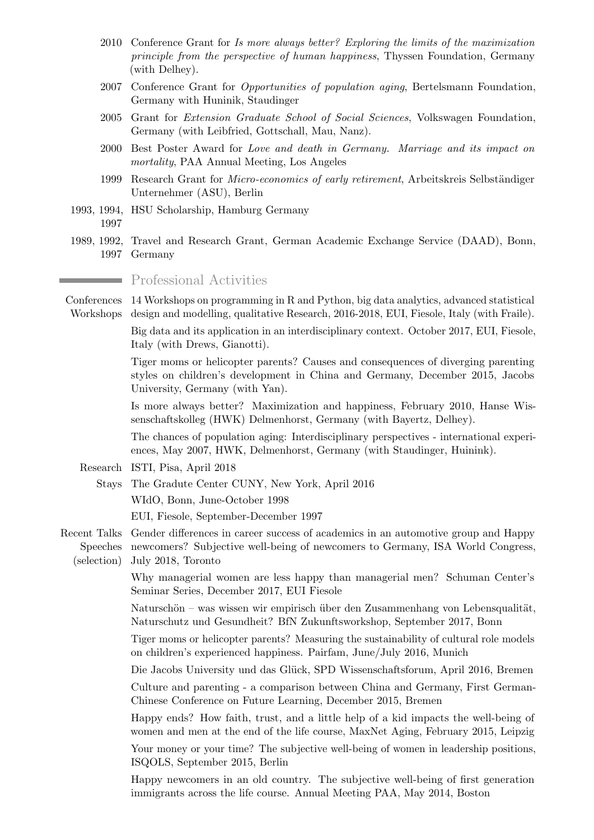- 2010 Conference Grant for Is more always better? Exploring the limits of the maximization principle from the perspective of human happiness, Thyssen Foundation, Germany (with Delhey).
- 2007 Conference Grant for Opportunities of population aging, Bertelsmann Foundation, Germany with Huninik, Staudinger
- 2005 Grant for Extension Graduate School of Social Sciences, Volkswagen Foundation, Germany (with Leibfried, Gottschall, Mau, Nanz).
- 2000 Best Poster Award for Love and death in Germany. Marriage and its impact on mortality, PAA Annual Meeting, Los Angeles
- 1999 Research Grant for *Micro-economics of early retirement*, Arbeitskreis Selbständiger Unternehmer (ASU), Berlin
- 1993, 1994, HSU Scholarship, Hamburg Germany 1997
- 1989, 1992, Travel and Research Grant, German Academic Exchange Service (DAAD), Bonn, 1997 Germany

Professional Activities

Conferences 14 Workshops on programming in R and Python, big data analytics, advanced statistical Workshops design and modelling, qualitative Research, 2016-2018, EUI, Fiesole, Italy (with Fraile).

> Big data and its application in an interdisciplinary context. October 2017, EUI, Fiesole, Italy (with Drews, Gianotti).

> Tiger moms or helicopter parents? Causes and consequences of diverging parenting styles on children's development in China and Germany, December 2015, Jacobs University, Germany (with Yan).

> Is more always better? Maximization and happiness, February 2010, Hanse Wissenschaftskolleg (HWK) Delmenhorst, Germany (with Bayertz, Delhey).

> The chances of population aging: Interdisciplinary perspectives - international experiences, May 2007, HWK, Delmenhorst, Germany (with Staudinger, Huinink).

- Research ISTI, Pisa, April 2018
	- Stays The Gradute Center CUNY, New York, April 2016

WIdO, Bonn, June-October 1998

EUI, Fiesole, September-December 1997

Recent Talks Gender differences in career success of academics in an automotive group and Happy Speeches newcomers? Subjective well-being of newcomers to Germany, ISA World Congress, (selection) July 2018, Toronto

> Why managerial women are less happy than managerial men? Schuman Center's Seminar Series, December 2017, EUI Fiesole

> Naturschön – was wissen wir empirisch über den Zusammenhang von Lebensqualität, Naturschutz und Gesundheit? BfN Zukunftsworkshop, September 2017, Bonn

> Tiger moms or helicopter parents? Measuring the sustainability of cultural role models on children's experienced happiness. Pairfam, June/July 2016, Munich

> Die Jacobs University und das Glück, SPD Wissenschaftsforum, April 2016, Bremen

Culture and parenting - a comparison between China and Germany, First German-Chinese Conference on Future Learning, December 2015, Bremen

Happy ends? How faith, trust, and a little help of a kid impacts the well-being of women and men at the end of the life course, MaxNet Aging, February 2015, Leipzig

Your money or your time? The subjective well-being of women in leadership positions, ISQOLS, September 2015, Berlin

Happy newcomers in an old country. The subjective well-being of first generation immigrants across the life course. Annual Meeting PAA, May 2014, Boston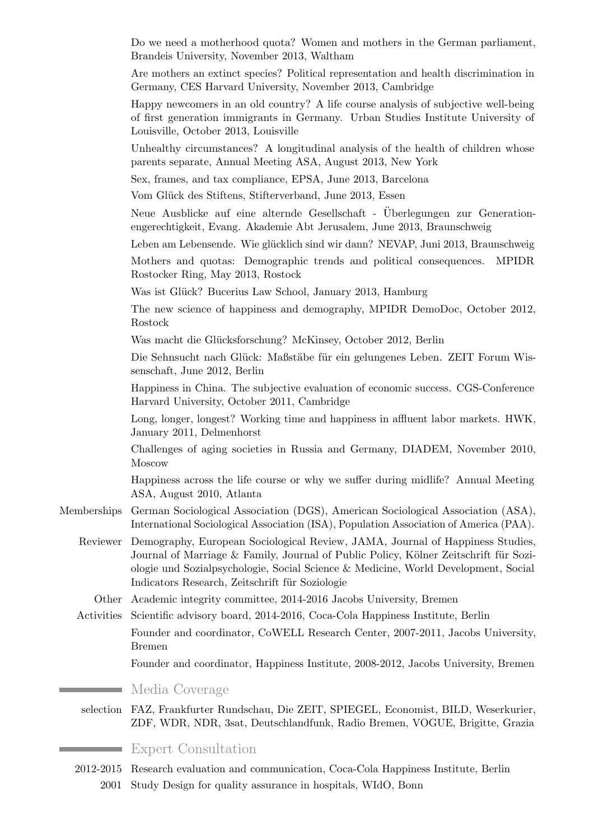|             | Do we need a motherhood quota? Women and mothers in the German parliament,<br>Brandeis University, November 2013, Waltham                                                                                                                                                                                      |
|-------------|----------------------------------------------------------------------------------------------------------------------------------------------------------------------------------------------------------------------------------------------------------------------------------------------------------------|
|             | Are mothers an extinct species? Political representation and health discrimination in<br>Germany, CES Harvard University, November 2013, Cambridge                                                                                                                                                             |
|             | Happy newcomers in an old country? A life course analysis of subjective well-being<br>of first generation immigrants in Germany. Urban Studies Institute University of<br>Louisville, October 2013, Louisville                                                                                                 |
|             | Unhealthy circumstances? A longitudinal analysis of the health of children whose<br>parents separate, Annual Meeting ASA, August 2013, New York                                                                                                                                                                |
|             | Sex, frames, and tax compliance, EPSA, June 2013, Barcelona                                                                                                                                                                                                                                                    |
|             | Vom Glück des Stiftens, Stifterverband, June 2013, Essen                                                                                                                                                                                                                                                       |
|             | Neue Ausblicke auf eine alternde Gesellschaft - Überlegungen zur Generation-<br>engerechtigkeit, Evang. Akademie Abt Jerusalem, June 2013, Braunschweig                                                                                                                                                        |
|             | Leben am Lebensende. Wie glücklich sind wir dann? NEVAP, Juni 2013, Braunschweig                                                                                                                                                                                                                               |
|             | Mothers and quotas: Demographic trends and political consequences.<br><b>MPIDR</b><br>Rostocker Ring, May 2013, Rostock                                                                                                                                                                                        |
|             | Was ist Glück? Bucerius Law School, January 2013, Hamburg                                                                                                                                                                                                                                                      |
|             | The new science of happiness and demography, MPIDR DemoDoc, October 2012,<br>Rostock                                                                                                                                                                                                                           |
|             | Was macht die Glücksforschung? McKinsey, October 2012, Berlin                                                                                                                                                                                                                                                  |
|             | Die Sehnsucht nach Glück: Maßstäbe für ein gelungenes Leben. ZEIT Forum Wis-<br>senschaft, June 2012, Berlin                                                                                                                                                                                                   |
|             | Happiness in China. The subjective evaluation of economic success. CGS-Conference<br>Harvard University, October 2011, Cambridge                                                                                                                                                                               |
|             | Long, longer, longest? Working time and happiness in affluent labor markets. HWK,<br>January 2011, Delmenhorst                                                                                                                                                                                                 |
|             | Challenges of aging societies in Russia and Germany, DIADEM, November 2010,<br>Moscow                                                                                                                                                                                                                          |
|             | Happiness across the life course or why we suffer during midlife? Annual Meeting<br>ASA, August 2010, Atlanta                                                                                                                                                                                                  |
| Memberships | German Sociological Association (DGS), American Sociological Association (ASA),<br>International Sociological Association (ISA), Population Association of America (PAA).                                                                                                                                      |
| Reviewer    | Demography, European Sociological Review, JAMA, Journal of Happiness Studies,<br>Journal of Marriage & Family, Journal of Public Policy, Kölner Zeitschrift für Sozi-<br>ologie und Sozialpsychologie, Social Science & Medicine, World Development, Social<br>Indicators Research, Zeitschrift für Soziologie |
| Other       | Academic integrity committee, 2014-2016 Jacobs University, Bremen                                                                                                                                                                                                                                              |
| Activities  | Scientific advisory board, 2014-2016, Coca-Cola Happiness Institute, Berlin                                                                                                                                                                                                                                    |
|             | Founder and coordinator, CoWELL Research Center, 2007-2011, Jacobs University,<br><b>Bremen</b>                                                                                                                                                                                                                |
|             | Founder and coordinator, Happiness Institute, 2008-2012, Jacobs University, Bremen                                                                                                                                                                                                                             |
|             | Media Coverage                                                                                                                                                                                                                                                                                                 |
| selection   | FAZ, Frankfurter Rundschau, Die ZEIT, SPIEGEL, Economist, BILD, Weserkurier,<br>ZDF, WDR, NDR, 3sat, Deutschlandfunk, Radio Bremen, VOGUE, Brigitte, Grazia                                                                                                                                                    |
|             | <b>Expert Consultation</b>                                                                                                                                                                                                                                                                                     |
|             |                                                                                                                                                                                                                                                                                                                |

2012-2015 Research evaluation and communication, Coca-Cola Happiness Institute, Berlin 2001 Study Design for quality assurance in hospitals, WIdO, Bonn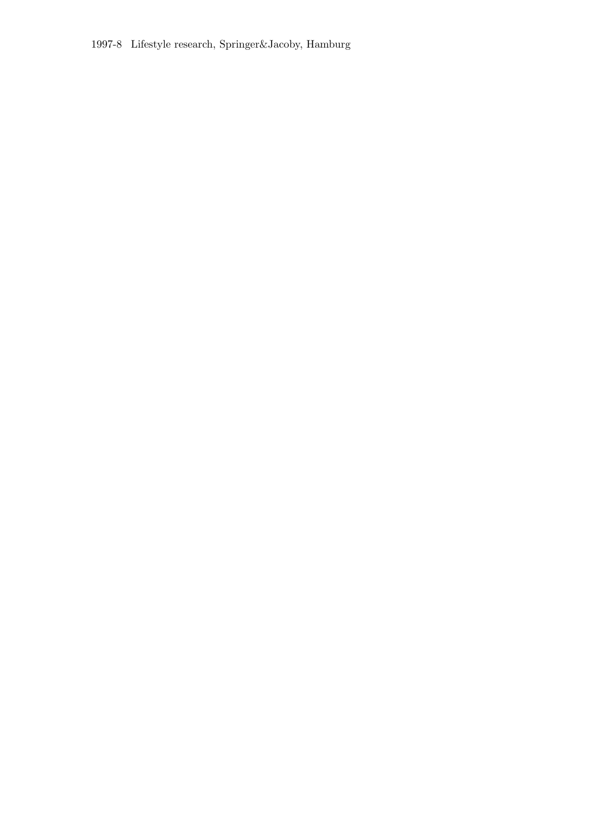1997-8 Lifestyle research, Springer&Jacoby, Hamburg